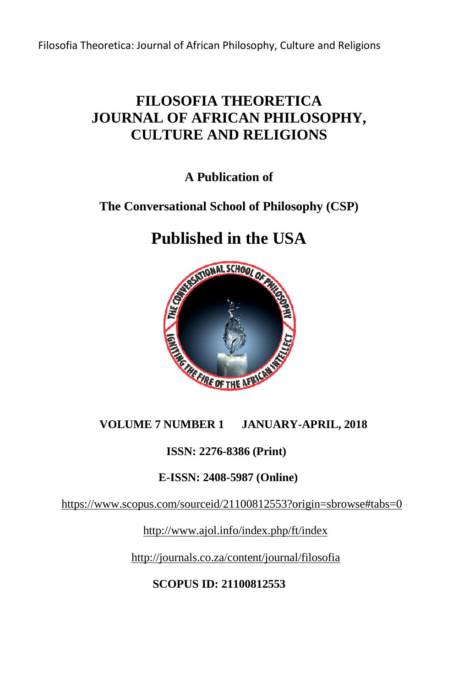## **FILOSOFIA THEORETICA JOURNAL OF AFRICAN PHILOSOPHY, CULTURE AND RELIGIONS**

**A Publication of** 

## **The Conversational School of Philosophy (CSP)**

# **Published in the USA**



#### **VOLUME 7 NUMBER 1 JANUARY-APRIL, 2018**

#### **ISSN: 2276-8386 (Print)**

#### **E-ISSN: 2408-5987 (Online) 5987**

https://www.scopus.com/sourceid/21100812553?origin=sbrowse#tabs=0

http://www.ajol.info/index.php/ft/index

http://journals.co.za/content/journal/filosofia

**SCOPUS ID: 21100812553**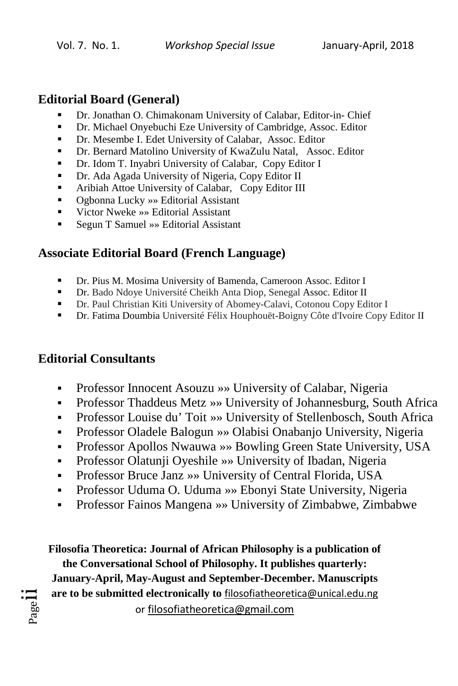#### **Editorial Board (General)**

- Dr. Jonathan O. Chimakonam University of Calabar, Editor-in- Chief
- Dr. Michael Onyebuchi Eze University of Cambridge, Assoc. Editor
- Dr. Mesembe I. Edet University of Calabar, Assoc. Editor
- Dr. Bernard Matolino University of KwaZulu Natal, Assoc. Editor
- Dr. Idom T. Inyabri University of Calabar, Copy Editor I
- Dr. Ada Agada University of Nigeria, Copy Editor II
- **Aribiah Attoe University of Calabar, Copy Editor III**
- Ogbonna Lucky »» Editorial Assistant
- Victor Nweke »» Editorial Assistant
- Segun T Samuel » Editorial Assistant

### **Associate Editorial Board (French Language)**

- Dr. Pius M. Mosima University of Bamenda, Cameroon Assoc. Editor I
- Dr. Bado Ndoye Université Cheikh Anta Diop, Senegal Assoc. Editor II
- Dr. Paul Christian Kiti University of Abomey-Calavi, Cotonou Copy Editor I
- Dr. Fatima Doumbia Université Félix Houphouët-Boigny Côte d'Ivoire Copy Editor II

### **Editorial Consultants**

Pagel

- Professor Innocent Asouzu »» University of Calabar, Nigeria
- Professor Thaddeus Metz »» University of Johannesburg, South Africa
- Professor Louise du' Toit »» University of Stellenbosch, South Africa
- Professor Oladele Balogun »» Olabisi Onabanjo University, Nigeria
- Professor Apollos Nwauwa »» Bowling Green State University, USA
- Professor Olatunji Oyeshile »» University of Ibadan, Nigeria
- Professor Bruce Janz »» University of Central Florida, USA
- Professor Uduma O. Uduma »» Ebonyi State University, Nigeria
- Professor Fainos Mangena »» University of Zimbabwe, Zimbabwe

**Filosofia Theoretica: Journal of African Philosophy is a publication of the Conversational School of Philosophy. It publishes quarterly: January-April, May-August and September-December. Manuscripts are to be submitted electronically to** filosofiatheoretica@unical.edu.ng or filosofiatheoretica@gmail.com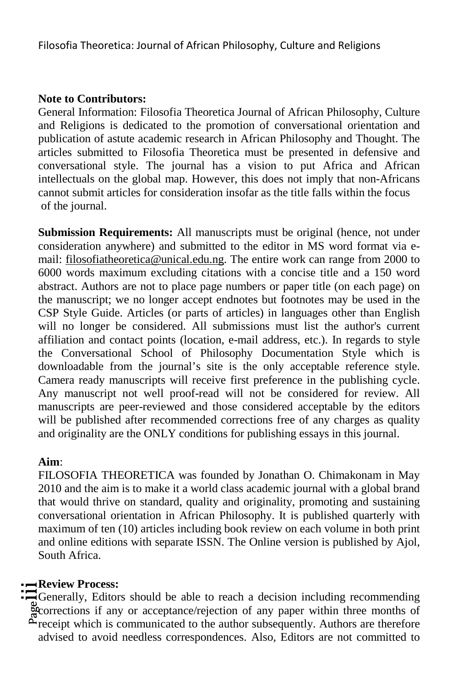#### **Note to Contributors:**

General Information: Filosofia Theoretica Journal of African Philosophy, Culture and Religions is dedicated to the promotion of conversational orientation and publication of astute academic research in African Philosophy and Thought. The articles submitted to Filosofia Theoretica must be presented in defensive and conversational style. The journal has a vision to put Africa and African intellectuals on the global map. However, this does not imply that non-Africans cannot submit articles for consideration insofar as the title falls within the focus of the journal.

**Submission Requirements:** All manuscripts must be original (hence, not under consideration anywhere) and submitted to the editor in MS word format via email: filosofiatheoretica@unical.edu.ng. The entire work can range from 2000 to 6000 words maximum excluding citations with a concise title and a 150 word abstract. Authors are not to place page numbers or paper title (on each page) on the manuscript; we no longer accept endnotes but footnotes may be used in the CSP Style Guide. Articles (or parts of articles) in languages other than English will no longer be considered. All submissions must list the author's current affiliation and contact points (location, e-mail address, etc.). In regards to style the Conversational School of Philosophy Documentation Style which is downloadable from the journal's site is the only acceptable reference style. Camera ready manuscripts will receive first preference in the publishing cycle. Any manuscript not well proof-read will not be considered for review. All manuscripts are peer-reviewed and those considered acceptable by the editors will be published after recommended corrections free of any charges as quality and originality are the ONLY conditions for publishing essays in this journal.

#### **Aim**:

FILOSOFIA THEORETICA was founded by Jonathan O. Chimakonam in May 2010 and the aim is to make it a world class academic journal with a global brand that would thrive on standard, quality and originality, promoting and sustaining conversational orientation in African Philosophy. It is published quarterly with maximum of ten (10) articles including book review on each volume in both print and online editions with separate ISSN. The Online version is published by Ajol, South Africa.

#### **Review Process:**

**EXEVIEW PROCESS:**<br>
Coenerally, Editors should be able to reach a decision including recommending<br>
executions if any or acceptance/rejection of any paper within three months of<br>
executively is communicated to the surface u Generally, Editors should be able to reach a decision including recommending  $\tilde{\mathcal{L}}$  receipt which is communicated to the author subsequently. Authors are therefore advised to avoid needless correspondences. Also, Editors are not committed to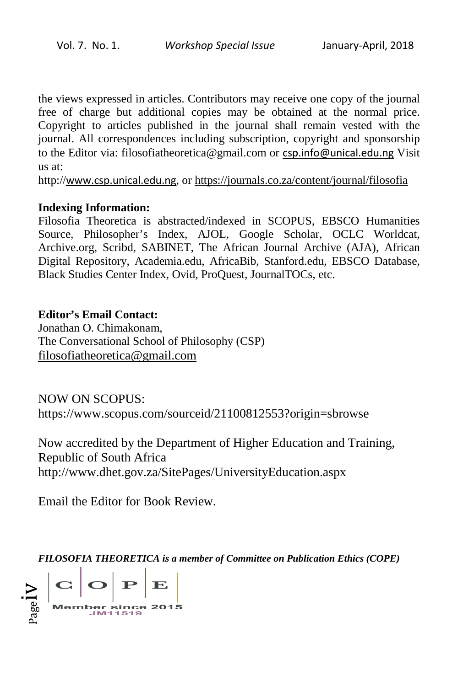the views expressed in articles. Contributors may receive one copy of the journal free of charge but additional copies may be obtained at the normal price. Copyright to articles published in the journal shall remain vested with the journal. All correspondences including subscription, copyright and sponsorship to the Editor via: filosofiatheoretica@gmail.com or csp.info@unical.edu.ng Visit us at: nal shall remain vested with the<br>ription, copyright and sponsorship<br><u>om</u> or **csp.info@unical.edu.ng** Visit

http://www.csp.unical.edu.ng, or https://journals.co.za/content/journal/filosofia

#### **Indexing Information:**

Filosofia Theoretica is abstracted/indexed in SCOPUS, EBSCO Humanities Source, Philosopher's Index, AJOL, Google Scholar, OCLC Worldcat, Archive.org, Scribd, SABINET, The African Journal Archive (AJA), African Source, Philosopher's Index, AJOL, Google Scholar, OCLC Worldcat,<br>Archive.org, Scribd, SABINET, The African Journal Archive (AJA), African<br>Digital Repository, Academia.edu, AfricaBib, Stanford.edu, EBSCO Database, Black Studies Center Index, Ovid, ProQuest, JournalTOCs, etc.

#### **Editor's Email Contact:**

Jonathan O. Chimakonam, The Conversational School of Philosophy (CSP) filosofiatheoretica@gmail.com

NOW ON SCOPUS: https://www.scopus.com/sourceid/21100812553?origin=sbrowse

Now accredited by the Department of Higher Education and Training, Republic of South Africa http://www.dhet.gov.za/SitePages/UniversityEducation.aspx

Email the Editor for Book Review.

*FILOSOFIA THEORETICA is a member of Committee on Publication Ethics (COPE)*

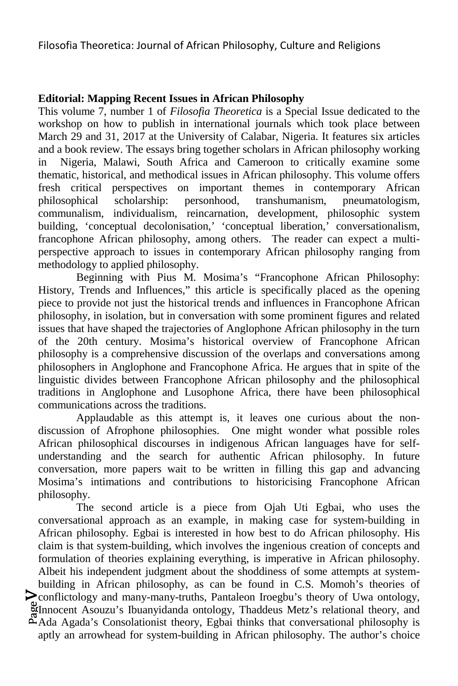#### **Editorial: Mapping Recent Issues in African Philosophy**

This volume 7, number 1 of *Filosofia Theoretica* is a Special Issue dedicated to the workshop on how to publish in international journals which took place between March 29 and 31, 2017 at the University of Calabar, Nigeria. It features six articles and a book review. The essays bring together scholars in African philosophy working in Nigeria, Malawi, South Africa and Cameroon to critically examine some thematic, historical, and methodical issues in African philosophy. This volume offers fresh critical perspectives on important themes in contemporary African philosophical scholarship: personhood, transhumanism, pneumatologism, communalism, individualism, reincarnation, development, philosophic system building, 'conceptual decolonisation,' 'conceptual liberation,' conversationalism, francophone African philosophy, among others. The reader can expect a multiperspective approach to issues in contemporary African philosophy ranging from methodology to applied philosophy.

Beginning with Pius M. Mosima's "Francophone African Philosophy: History, Trends and Influences," this article is specifically placed as the opening piece to provide not just the historical trends and influences in Francophone African philosophy, in isolation, but in conversation with some prominent figures and related issues that have shaped the trajectories of Anglophone African philosophy in the turn of the 20th century. Mosima's historical overview of Francophone African philosophy is a comprehensive discussion of the overlaps and conversations among philosophers in Anglophone and Francophone Africa. He argues that in spite of the linguistic divides between Francophone African philosophy and the philosophical traditions in Anglophone and Lusophone Africa, there have been philosophical communications across the traditions.

Applaudable as this attempt is, it leaves one curious about the nondiscussion of Afrophone philosophies. One might wonder what possible roles African philosophical discourses in indigenous African languages have for selfunderstanding and the search for authentic African philosophy. In future conversation, more papers wait to be written in filling this gap and advancing Mosima's intimations and contributions to historicising Francophone African philosophy.

**Solution**<br> **Example 3** Association is the set of the set of the set of the set of the set of the set of the set of the set of the set of the set of the set of the set of the set of the set of the set of the set of the set conflictology and many-many-truths, Pantaleon Iroegbu's theory of Uwa ontology, The second article is a piece from Ojah Uti Egbai, who uses the conversational approach as an example, in making case for system-building in African philosophy. Egbai is interested in how best to do African philosophy. His claim is that system-building, which involves the ingenious creation of concepts and formulation of theories explaining everything, is imperative in African philosophy. Albeit his independent judgment about the shoddiness of some attempts at systembuilding in African philosophy, as can be found in C.S. Momoh's theories of  $\mathring{\Delta}$  Ada Agada's Consolationist theory, Egbai thinks that conversational philosophy is

aptly an arrowhead for system-building in African philosophy. The author's choice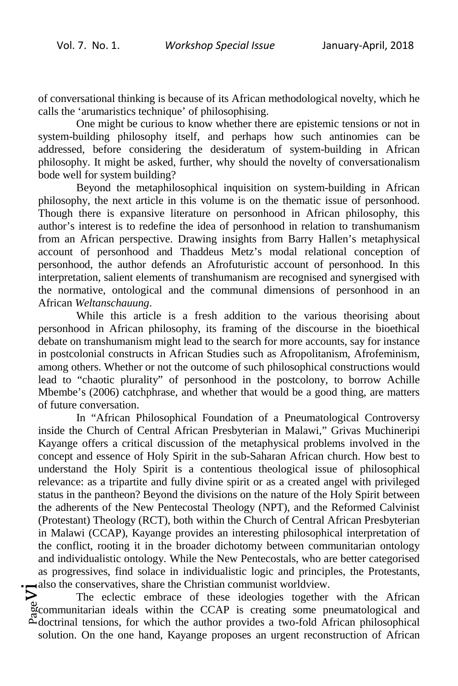of conversational thinking is because of its African methodological novelty, which he calls the 'arumaristics technique' of philosophising.

One might be curious to know whether there are epistemic tensions or not in system-building philosophy itself, and perhaps how such antinomies can be addressed, before considering the desideratum of system-building in African philosophy. It might be asked, further, why should the novelty of conversationalism bode well for system building?

Beyond the metaphilosophical inquisition on system-building in African philosophy, the next article in this volume is on the thematic issue of personhood. Though there is expansive literature on personhood in African philosophy, this author's interest is to redefine the idea of personhood in relation to transhumanism from an African perspective. Drawing insights from Barry Hallen's metaphysical account of personhood and Thaddeus Metz's modal relational conception of personhood, the author defends an Afrofuturistic account of personhood. In this interpretation, salient elements of transhumanism are recognised and synergised with the normative, ontological and the communal dimensions of personhood in an African *Weltanschauung*.

While this article is a fresh addition to the various theorising about personhood in African philosophy, its framing of the discourse in the bioethical debate on transhumanism might lead to the search for more accounts, say for instance in postcolonial constructs in African Studies such as Afropolitanism, Afrofeminism, among others. Whether or not the outcome of such philosophical constructions would lead to "chaotic plurality" of personhood in the postcolony, to borrow Achille Mbembe's (2006) catchphrase, and whether that would be a good thing, are matters of future conversation.

In "African Philosophical Foundation of a Pneumatological Controversy inside the Church of Central African Presbyterian in Malawi," Grivas Muchineripi Kayange offers a critical discussion of the metaphysical problems involved in the concept and essence of Holy Spirit in the sub-Saharan African church. How best to understand the Holy Spirit is a contentious theological issue of philosophical relevance: as a tripartite and fully divine spirit or as a created angel with privileged status in the pantheon? Beyond the divisions on the nature of the Holy Spirit between the adherents of the New Pentecostal Theology (NPT), and the Reformed Calvinist (Protestant) Theology (RCT), both within the Church of Central African Presbyterian in Malawi (CCAP), Kayange provides an interesting philosophical interpretation of the conflict, rooting it in the broader dichotomy between communitarian ontology and individualistic ontology. While the New Pentecostals, who are better categorised as progressives, find solace in individualistic logic and principles, the Protestants,

also the conservatives, share the Christian communist worldview.<br>
The eclectic embrace of these ideologies together<br>
accommunitarian ideals within the CCAP is creating some pro-<br>
adoctrinal tensions for which the author pr The eclectic embrace of these ideologies together with the African communitarian ideals within the CCAP is creating some pneumatological and  $\Delta$  doctrinal tensions, for which the author provides a two-fold African philosophical solution. On the one hand, Kayange proposes an urgent reconstruction of African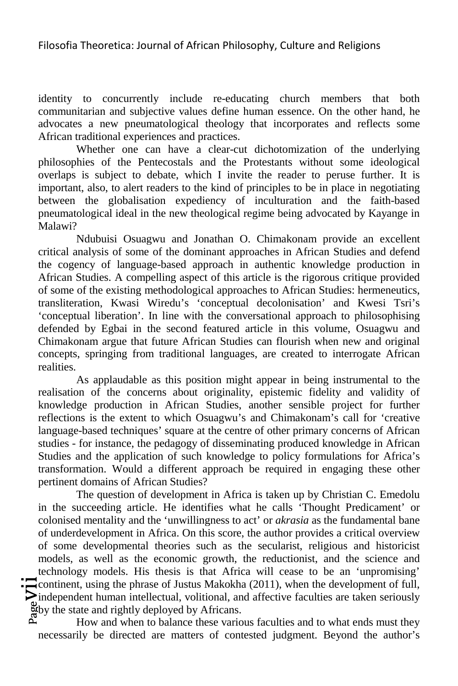identity to concurrently include re-educating church members that both communitarian and subjective values define human essence. On the other hand, he advocates a new pneumatological theology that incorporates and reflects some African traditional experiences and practices.

Whether one can have a clear-cut dichotomization of the underlying philosophies of the Pentecostals and the Protestants without some ideological overlaps is subject to debate, which I invite the reader to peruse further. It is important, also, to alert readers to the kind of principles to be in place in negotiating between the globalisation expediency of inculturation and the faith-based pneumatological ideal in the new theological regime being advocated by Kayange in Malawi?

Ndubuisi Osuagwu and Jonathan O. Chimakonam provide an excellent critical analysis of some of the dominant approaches in African Studies and defend the cogency of language-based approach in authentic knowledge production in African Studies. A compelling aspect of this article is the rigorous critique provided of some of the existing methodological approaches to African Studies: hermeneutics, transliteration, Kwasi Wiredu's 'conceptual decolonisation' and Kwesi Tsri's 'conceptual liberation'. In line with the conversational approach to philosophising defended by Egbai in the second featured article in this volume, Osuagwu and Chimakonam argue that future African Studies can flourish when new and original concepts, springing from traditional languages, are created to interrogate African realities.

As applaudable as this position might appear in being instrumental to the realisation of the concerns about originality, epistemic fidelity and validity of knowledge production in African Studies, another sensible project for further reflections is the extent to which Osuagwu's and Chimakonam's call for 'creative language-based techniques' square at the centre of other primary concerns of African studies - for instance, the pedagogy of disseminating produced knowledge in African Studies and the application of such knowledge to policy formulations for Africa's transformation. Would a different approach be required in engaging these other pertinent domains of African Studies?

 $_{\rm Page}$ V $\prod\limits_{\rm G}$ The question of development in Africa is taken up by Christian C. Emedolu in the succeeding article. He identifies what he calls 'Thought Predicament' or colonised mentality and the 'unwillingness to act' or *akrasia* as the fundamental bane of underdevelopment in Africa. On this score, the author provides a critical overview of some developmental theories such as the secularist, religious and historicist models, as well as the economic growth, the reductionist, and the science and technology models. His thesis is that Africa will cease to be an 'unpromising' continent, using the phrase of Justus Makokha (2011), when the development of full,  $\triangleright$  independent human intellectual, volitional, and affective faculties are taken seriously by the state and rightly deployed by Africans.

How and when to balance these various faculties and to what ends must they necessarily be directed are matters of contested judgment. Beyond the author's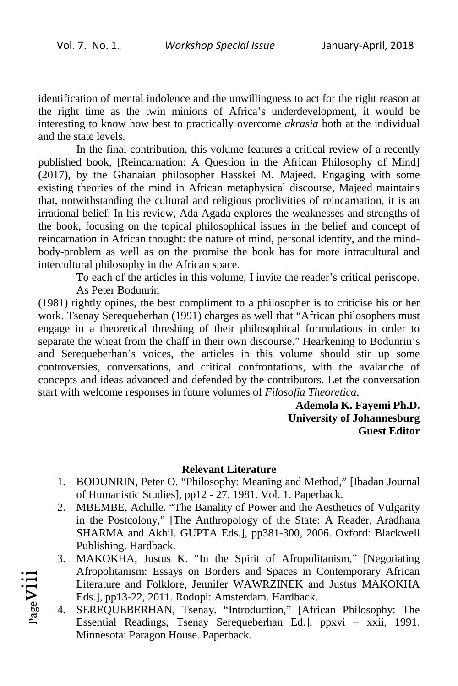identification of mental indolence and the unwillingness to act for the right reason at the right time as the twin minions of Africa's underdevelopment, it would be interesting to know how best to practically overcome *akrasia* both at the individual and the state levels.

In the final contribution, this volume features a critical review of a recently published book, [Reincarnation: A Question in the African Philosophy of Mind] (2017), by the Ghanaian philosopher Hasskei M. Majeed. Engaging with some existing theories of the mind in African metaphysical discourse, Majeed maintains that, notwithstanding the cultural and religious proclivities of reincarnation, it is an irrational belief. In his review, Ada Agada explores the weaknesses and strengths of the book, focusing on the topical philosophical issues in the belief and concept of reincarnation in African thought: the nature of mind, personal identity, and the mindbody-problem as well as on the promise the book has for more intracultural and intercultural philosophy in the African space.

To each of the articles in this volume, I invite the reader's critical periscope.

As Peter Bodunrin

Pageviii

(1981) rightly opines, the best compliment to a philosopher is to criticise his or her work. Tsenay Serequeberhan (1991) charges as well that "African philosophers must engage in a theoretical threshing of their philosophical formulations in order to separate the wheat from the chaff in their own discourse." Hearkening to Bodunrin's and Serequeberhan's voices, the articles in this volume should stir up some controversies, conversations, and critical confrontations, with the avalanche of concepts and ideas advanced and defended by the contributors. Let the conversation start with welcome responses in future volumes of *Filosofia Theoretica*.

> **Ademola K. Fayemi Ph.D. University of Johannesburg Guest Editor**

#### **Relevant Literature**

- 1. BODUNRIN, Peter O. "Philosophy: Meaning and Method," [Ibadan Journal of Humanistic Studies], pp12 - 27, 1981. Vol. 1. Paperback.
- 2. MBEMBE, Achille. "The Banality of Power and the Aesthetics of Vulgarity in the Postcolony," [The Anthropology of the State: A Reader, Aradhana SHARMA and Akhil. GUPTA Eds.], pp381-300, 2006. Oxford: Blackwell Publishing. Hardback.
- 3. MAKOKHA, Justus K. "In the Spirit of Afropolitanism," [Negotiating Afropolitanism: Essays on Borders and Spaces in Contemporary African Literature and Folklore, Jennifer WAWRZINEK and Justus MAKOKHA Eds.], pp13-22, 2011. Rodopi: Amsterdam. Hardback.
- 4. SEREQUEBERHAN, Tsenay. "Introduction," [African Philosophy: The Essential Readings, Tsenay Serequeberhan Ed.], ppxvi – xxii, 1991. Minnesota: Paragon House. Paperback.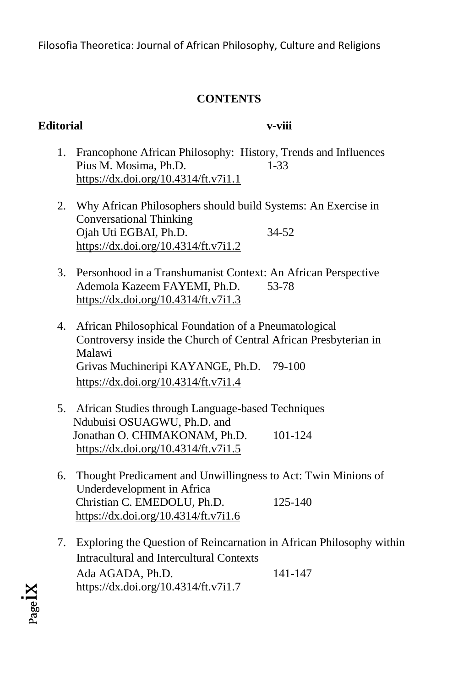#### **CONTENTS**

#### **Editorial v-viii**

- 1. Francophone African Philosophy: History, Trends and Influences Pius M. Mosima, Ph.D. 1-33 https://dx.doi.org/10.4314/ft.v7i1.1
- 2. Why African Philosophers should build Systems: An Exercise in Conversational Thinking Ojah Uti EGBAI, Ph.D. 34-52 https://dx.doi.org/10.4314/ft.v7i1.2
- 3. Personhood in a Transhumanist Context: An African Perspective Ademola Kazeem FAYEMI, Ph.D. 53-78 https://dx.doi.org/10.4314/ft.v7i1.3
- 4. African Philosophical Foundation of a Pneumatological Controversy inside the Church of Central African Presbyterian in Malawi Grivas Muchineripi KAYANGE, Ph.D. 79-100 https://dx.doi.org/10.4314/ft.v7i1.4
- 5. African Studies through Language-based Techniques Ndubuisi OSUAGWU, Ph.D. and Jonathan O. CHIMAKONAM, Ph.D. 101-124 https://dx.doi.org/10.4314/ft.v7i1.5
- 6. Thought Predicament and Unwillingness to Act: Twin Minions of Underdevelopment in Africa Christian C. EMEDOLU, Ph.D. 125-140 https://dx.doi.org/10.4314/ft.v7i1.6
- 7. Exploring the Question of Reincarnation in African Philosophy within Intracultural and Intercultural Contexts Ada AGADA, Ph.D. 141-147 https://dx.doi.org/10.4314/ft.v7i1.7